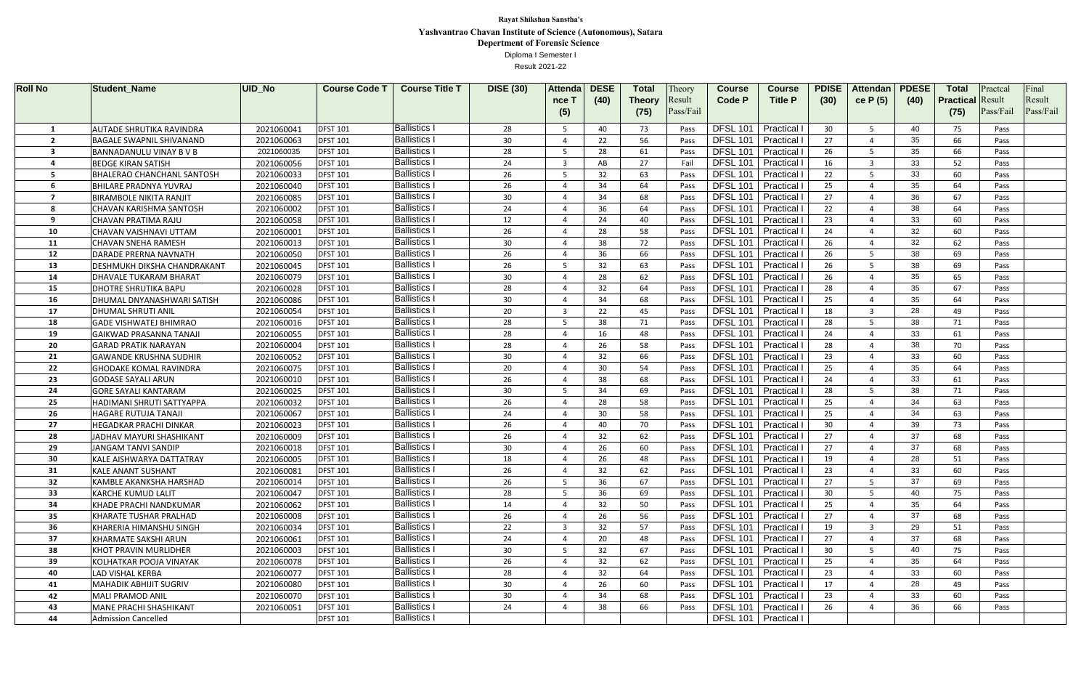| <b>Roll No</b> | <b>Student_Name</b>                                    | UID_No                   | <b>Course Code 1</b>               | <b>Course Title T</b>                      | <b>DISE (30)</b> | <b>Attenda</b>           | <b>DESE</b> | <b>Total</b>  | Theory       | <b>Course</b>                                    | <b>Course</b>          | <b>PDISE</b> | <b>Attendan</b> | <b>PDESE</b> | <b>Total</b>            | Practca      | Final     |
|----------------|--------------------------------------------------------|--------------------------|------------------------------------|--------------------------------------------|------------------|--------------------------|-------------|---------------|--------------|--------------------------------------------------|------------------------|--------------|-----------------|--------------|-------------------------|--------------|-----------|
|                |                                                        |                          |                                    |                                            |                  | nce T                    | (40)        | <b>Theory</b> | Result       | <b>Code P</b>                                    | <b>Title P</b>         | (30)         | ce P (5)        | (40)         | <b>Practical Result</b> |              | Result    |
|                |                                                        |                          |                                    |                                            |                  | (5)                      |             | (75)          | Pass/Fail    |                                                  |                        |              |                 |              | (75)                    | Pass/Fail    | Pass/Fail |
|                | <b>AUTADE SHRUTIKA RAVINDRA</b>                        | 2021060041               | <b>DFST 101</b>                    | <b>Ballistics</b>                          | 28               | -5                       | 40          | 73            | Pass         | <b>DFSL 101</b>                                  | Practical              | 30           |                 | 40           | 75                      | Pass         |           |
|                | <b>BAGALE SWAPNIL SHIVANAND</b>                        | 2021060063               | <b>DFST 101</b>                    | <b>Ballistics I</b>                        | 30               | $\Delta$                 | 22          | 56            | Pass         | <b>DFSL 101</b>                                  | Practical              | 27           |                 | 35           | 66                      | Pass         |           |
| 3              | <b>BANNADANULU VINAY B V B</b>                         | 2021060035               | <b>DFST 101</b>                    | <b>Ballistics I</b>                        | 28               | -5                       | 28          | 61            | Pass         | <b>DFSL 101</b>                                  | Practical              | 26           |                 | 35           | 66                      | Pass         |           |
|                | <b>BEDGE KIRAN SATISH</b>                              | 2021060056               | <b>DFST 101</b>                    | <b>Ballistics I</b>                        | 24               | $\overline{\mathbf{3}}$  | AB          | 27            | Fai          | <b>DFSL 101</b>                                  | Practical              | 16           |                 | 33           | 52                      | Pass         |           |
| 5.             | <b>BHALERAO CHANCHANL SANTOSH</b>                      | 2021060033               | <b>DFST 101</b>                    | <b>Ballistics I</b>                        | 26               | -5                       | 32          | 63            | Pass         | <b>DFSL 101</b>                                  | Practical              | 22           |                 | 33           | 60                      | Pass         |           |
|                | <b>BHILARE PRADNYA YUVRAJ</b>                          | 2021060040               | <b>DFST 101</b>                    | <b>Ballistics I</b>                        | 26               | $\Delta$                 | 34          | 64            | Pass         | <b>DFSL 101</b>                                  | Practical              | 25           |                 | 35           | 64                      | Pass         |           |
|                | <b>BIRAMBOLE NIKITA RANJIT</b>                         | 2021060085               | <b>DFST 101</b>                    | <b>Ballistics I</b>                        | 30               | $\boldsymbol{\varDelta}$ | 34          | 68            | Pass         | <b>DFSL 101</b>                                  | Practical              | 27           |                 | 36           | 67                      | Pass         |           |
| 8              | <b>CHAVAN KARISHMA SANTOSH</b>                         | 2021060002               | <b>DFST 101</b>                    | <b>Ballistics I</b>                        | 24               | $\Delta$                 | 36          | 64            | Pass         | <b>DFSL 101</b>                                  | Practical              | 22           |                 | 38           | 64                      | Pass         |           |
| q              | CHAVAN PRATIMA RAJU                                    | 2021060058               | <b>DFST 101</b>                    | <b>Ballistics I</b>                        | 12               | $\boldsymbol{\varDelta}$ | 24          | 40            | Pass         | <b>DFSL 101</b>                                  | Practical              | 23           |                 | 33           | 60                      | Pass         |           |
| 10             | CHAVAN VAISHNAVI UTTAM                                 | 2021060001               | <b>DFST 101</b>                    | <b>Ballistics I</b>                        | 26               | $\Delta$                 | 28          | 58            | Pass         | <b>DFSL 101</b>                                  | Practical              | 24           |                 | 32           | 60                      | Pass         |           |
| 11             | <b>CHAVAN SNEHA RAMESH</b>                             | 2021060013               | <b>DFST 101</b>                    | <b>Ballistics I</b>                        | 30               |                          | 38          | 72            | Pass         | <b>DFSL 101</b>                                  | Practical              | 26           |                 | 32           | 62                      | Pass         |           |
| 12             | DARADE PRERNA NAVNATH                                  | 2021060050               | <b>DFST 101</b>                    | <b>Ballistics I</b>                        | 26               |                          | 36          | 66            | Pass         | <b>DFSL 101</b>                                  | Practical              | 26           |                 | 38           | 69                      | Pass         |           |
| 13             | <b>DESHMUKH DIKSHA CHANDRAKANT</b>                     | 2021060045               | <b>DFST 101</b>                    | <b>Ballistics I</b>                        | 26               | -5                       | 32          | 63            | Pass         | <b>DFSL 101</b>                                  | Practical              | 26           |                 | 38           | 69                      | Pass         |           |
| 14             | DHAVALE TUKARAM BHARAT                                 | 2021060079               | <b>DFST 101</b>                    | <b>Ballistics I</b>                        | 30               |                          | 28          | 62            | Pass         | <b>DFSL 101</b>                                  | Practical              | 26           |                 | 35           | 65                      | Pass         |           |
| 15             | <b>DHOTRE SHRUTIKA BAPU</b>                            | 2021060028               | <b>DFST 101</b>                    | <b>Ballistics I</b>                        | 28               |                          | 32          | 64            | Pass         | <b>DFSL 101</b>                                  | Practical              | 28           |                 | 35           | 67                      | Pass         |           |
| 16             | DHUMAL DNYANASHWARI SATISH                             | 2021060086               | <b>DFST 101</b>                    | <b>Ballistics</b>                          | 30               | $\Delta$                 | 34          | 68            | Pass         | <b>DFSL 101</b>                                  | Practical              | 25           |                 | 35           | 64                      | Pass         |           |
| 17             | <b>DHUMAL SHRUTI ANIL</b>                              | 2021060054               | <b>DFST 101</b>                    | <b>Ballistics I</b>                        | 20               | $\mathbf{3}$             | 22          | -45           | Pass         | <b>DFSL 101</b>                                  | Practical              | 18           |                 | 28           | 49                      | Pass         |           |
| 18             | <b>GADE VISHWATEJ BHIMRAO</b>                          | 2021060016               | <b>DFST 101</b>                    | <b>Ballistics</b> I                        | 28               | -5.                      | 38          | -71           | Pass         | <b>DFSL 101</b>                                  | Practical              | 28           |                 | 38           | 71                      | Pass         |           |
| 19             | <b>GAIKWAD PRASANNA TANAJI</b>                         | 2021060055               | <b>DFST 101</b>                    | <b>Ballistics I</b>                        | 28               | $\Delta$                 | 16          | 48            | Pass         | <b>DFSL 101</b>                                  | Practical              | 24           |                 | 33           | 61                      | Pass         |           |
| 20             | <b>GARAD PRATIK NARAYAN</b>                            | 2021060004               | <b>DFST 101</b>                    | <b>Ballistics I</b>                        | 28               | $\overline{4}$           | 26          | 58            | Pass         | <b>DFSL 101</b>                                  | Practical              | 28           |                 | 38           | 70                      | Pass         |           |
| 21             | <b>GAWANDE KRUSHNA SUDHIR</b>                          | 2021060052               | <b>DFST 101</b>                    | <b>Ballistics I</b>                        | 30               | $\boldsymbol{\varDelta}$ | 32          | 66            | Pass         | <b>DFSL 101</b>                                  | Practical              | 23           |                 | 33           | 60                      | Pass         |           |
| 22             | <b>GHODAKE KOMAL RAVINDRA</b>                          | 2021060075               | <b>DFST 101</b>                    | <b>Ballistics I</b>                        | 20               | $\Delta$                 | 30          | 54            | Pass         | <b>DFSL 101</b>                                  | Practical              | 25           |                 | 35           | 64                      | Pass         |           |
| 23             | <b>GODASE SAYALI ARUN</b>                              | 2021060010               | <b>DFST 101</b>                    | <b>Ballistics I</b>                        | 26               | $\Delta$                 | 38          | 68            | Pass         | <b>DFSL 101</b>                                  | Practical              | 24           |                 | 33           | 61                      | Pass         |           |
| 24             | <b>GORE SAYALI KANTARAM</b>                            | 2021060025               | <b>DFST 101</b>                    | <b>Ballistics I</b>                        | 30               | -5<br>$\Delta$           | 34          | 69            | Pass         | <b>DFSL 101</b>                                  | Practical              | 28           |                 | 38           | 71                      | Pass         |           |
| 25             | HADIMANI SHRUTI SATTYAPPA                              | 2021060032               | <b>DFST 101</b>                    | <b>Ballistics I</b><br><b>Ballistics I</b> | 26               | $\Delta$                 | 28          | 58            | Pass         | <b>DFSL 101</b>                                  | Practical              | 25           |                 | 34           | 63                      | Pass         |           |
| 26             | <b>HAGARE RUTUJA TANAJI</b>                            | 2021060067               | <b>DFST 101</b>                    | <b>Ballistics</b>                          | 24               |                          | 30          | 58            | Pass         | DFSL 101   Practical                             |                        | 25           |                 | 34           | 63                      | Pass         |           |
| 27             | <b>HEGADKAR PRACHI DINKAR</b>                          | 2021060023               | <b>DFST 101</b>                    | <b>Ballistics I</b>                        | 26               | $\Delta$                 | 40          | 70            | Pass         |                                                  | DFSL 101   Practical I | 30           |                 | 39           | 73                      | Pass         |           |
| 28             | JADHAV MAYURI SHASHIKANT                               | 2021060009               | <b>DFST 101</b>                    | <b>Ballistics I</b>                        | 26<br>30         |                          | 32          | 62            | Pass         | DFSL 101   Practical I                           |                        | 27<br>27     |                 | 37<br>37     | 68                      | Pass         |           |
| 29<br>30       | JANGAM TANVI SANDIP<br><b>KALE AISHWARYA DATTATRAY</b> | 2021060018<br>2021060005 | <b>DFST 101</b><br><b>DFST 101</b> | <b>Ballistics I</b>                        | 18               |                          | 26<br>26    | 60<br>48      | Pass<br>Pass | DFSL 101   Practical I<br>DFSL 101   Practical I |                        | 19           |                 | 28           | 68<br>51                | Pass         |           |
| 31             | <b>KALE ANANT SUSHANT</b>                              | 2021060081               | <b>DFST 101</b>                    | <b>Ballistics I</b>                        | 26               |                          | 32          | 62            | Pass         | DFSL 101   Practical I                           |                        | 23           |                 | 33           | 60                      | Pass<br>Pass |           |
| 32             | <b>KAMBLE AKANKSHA HARSHAD</b>                         | 2021060014               | <b>DFST 101</b>                    | <b>Ballistics I</b>                        | 26               | -5                       | 36          | 67            | Pass         | DFSL 101   Practical                             |                        | 27           |                 | 37           | 69                      | Pass         |           |
| 33             | <b>KARCHE KUMUD LALIT</b>                              | 2021060047               | <b>DFST 101</b>                    | <b>Ballistics I</b>                        | 28               | -5                       | 36          | 69            | Pass         | DFSL 101   Practical I                           |                        | 30           |                 | 40           | 75                      | Pass         |           |
| 34             | KHADE PRACHI NANDKUMAR                                 | 2021060062               | <b>DFST 101</b>                    | <b>Ballistics I</b>                        | 14               | $\Delta$                 | 32          | 50            | Pass         | DFSL 101   Practical I                           |                        | 25           |                 | 35           | 64                      | Pass         |           |
| 35             | KHARATE TUSHAR PRALHAD                                 | 2021060008               | <b>DFST 101</b>                    | <b>Ballistics I</b>                        | 26               | $\Delta$                 | 26          | 56            | Pass         | DFSL 101   Practical I                           |                        | 27           |                 | 37           | 68                      | Pass         |           |
| 36             | KHARERIA HIMANSHU SINGH                                | 2021060034               | <b>DFST 101</b>                    | <b>Ballistics I</b>                        | 22               | $\overline{3}$           | 32          | 57            | Pass         | DFSL 101   Practical I                           |                        | 19           | 3               | 29           | 51                      | Pass         |           |
| 37             | <b>KHARMATE SAKSHI ARUN</b>                            | 2021060061               | <b>DFST 101</b>                    | <b>Ballistics I</b>                        | 24               | $\overline{4}$           | 20          | 48            | Pass         | DFSL 101   Practical I                           |                        | 27           |                 | 37           | 68                      | Pass         |           |
| 38             | <b>KHOT PRAVIN MURLIDHER</b>                           | 2021060003               | <b>DFST 101</b>                    | <b>Ballistics I</b>                        | 30 <sup>°</sup>  | 5                        | 32          | 67            | Pass         | DFSL 101   Practical I                           |                        | 30           |                 | 40           | 75                      | Pass         |           |
| 39             | KOLHATKAR POOJA VINAYAK                                | 2021060078               | <b>DFST 101</b>                    | <b>Ballistics I</b>                        | 26               | $\overline{4}$           | 32          | 62            | Pass         |                                                  | DFSL 101   Practical I | 25           |                 | 35           | 64                      | Pass         |           |
| 40             | <b>LAD VISHAL KERBA</b>                                | 2021060077               | <b>DFST 101</b>                    | <b>Ballistics I</b>                        | 28               | $\boldsymbol{\varDelta}$ | 32          | 64            | Pass         | DFSL 101   Practical I                           |                        | 23           |                 | 33           | 60                      | Pass         |           |
| 41             | <b>MAHADIK ABHIJIT SUGRIV</b>                          | 2021060080               | <b>DFST 101</b>                    | <b>Ballistics I</b>                        | 30 <sup>°</sup>  |                          | 26          | 60            | Pass         | DFSL 101   Practical I                           |                        | 17           |                 | 28           | 49                      | Pass         |           |
| 42             | <b>MALI PRAMOD ANIL</b>                                | 2021060070               | <b>DFST 101</b>                    | <b>Ballistics I</b>                        | 30 <sup>°</sup>  |                          | 34          | 68            | Pass         |                                                  | DFSL 101   Practical I | 23           |                 | 33           | 60                      | Pass         |           |
| 43             | <b>MANE PRACHI SHASHIKANT</b>                          | 2021060051               | <b>DFST 101</b>                    | <b>Ballistics I</b>                        | 24               |                          | 38          | 66            | Pass         | DFSL 101   Practical I                           |                        | 26           |                 | 36           | 66                      | Pass         |           |
| 44             | <b>Admission Cancelled</b>                             |                          | <b>DFST 101</b>                    | <b>Ballistics I</b>                        |                  |                          |             |               |              |                                                  | DFSL 101   Practical I |              |                 |              |                         |              |           |
|                |                                                        |                          |                                    |                                            |                  |                          |             |               |              |                                                  |                        |              |                 |              |                         |              |           |

Result 2021-22

**Rayat Shikshan Sanstha's Yashvantrao Chavan Institute of Science (Autonomous), Satara Depertment of Forensic Science**  Diploma I Semester I